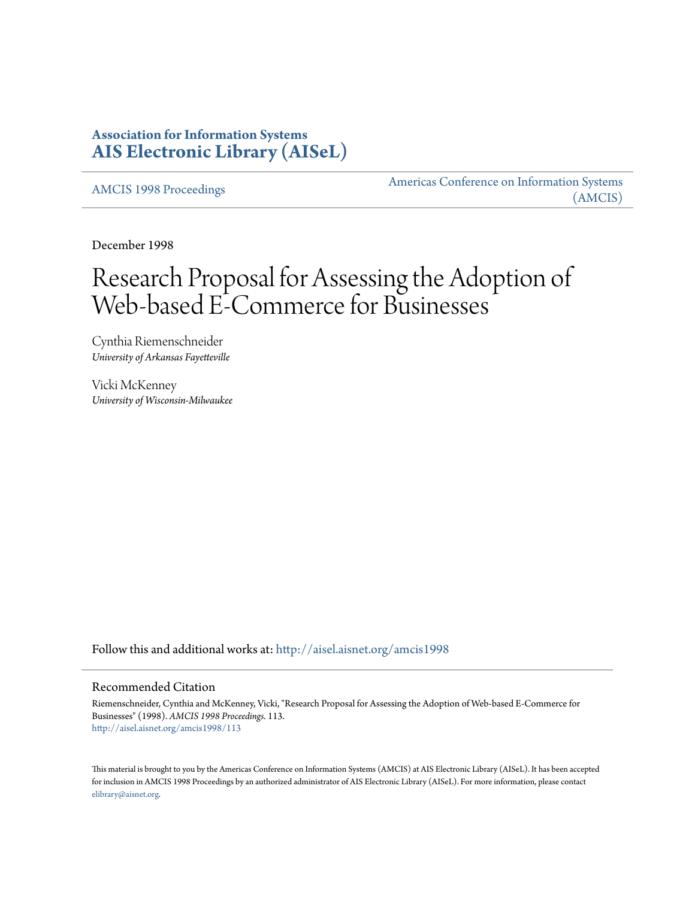## **Association for Information Systems [AIS Electronic Library \(AISeL\)](http://aisel.aisnet.org?utm_source=aisel.aisnet.org%2Famcis1998%2F113&utm_medium=PDF&utm_campaign=PDFCoverPages)**

[AMCIS 1998 Proceedings](http://aisel.aisnet.org/amcis1998?utm_source=aisel.aisnet.org%2Famcis1998%2F113&utm_medium=PDF&utm_campaign=PDFCoverPages)

[Americas Conference on Information Systems](http://aisel.aisnet.org/amcis?utm_source=aisel.aisnet.org%2Famcis1998%2F113&utm_medium=PDF&utm_campaign=PDFCoverPages) [\(AMCIS\)](http://aisel.aisnet.org/amcis?utm_source=aisel.aisnet.org%2Famcis1998%2F113&utm_medium=PDF&utm_campaign=PDFCoverPages)

December 1998

# Research Proposal for Assessing the Adoption of Web-based E-Commerce for Businesses

Cynthia Riemenschneider *University of Arkansas Fayetteville*

Vicki McKenney *University of Wisconsin-Milwaukee*

Follow this and additional works at: [http://aisel.aisnet.org/amcis1998](http://aisel.aisnet.org/amcis1998?utm_source=aisel.aisnet.org%2Famcis1998%2F113&utm_medium=PDF&utm_campaign=PDFCoverPages)

#### Recommended Citation

Riemenschneider, Cynthia and McKenney, Vicki, "Research Proposal for Assessing the Adoption of Web-based E-Commerce for Businesses" (1998). *AMCIS 1998 Proceedings*. 113. [http://aisel.aisnet.org/amcis1998/113](http://aisel.aisnet.org/amcis1998/113?utm_source=aisel.aisnet.org%2Famcis1998%2F113&utm_medium=PDF&utm_campaign=PDFCoverPages)

This material is brought to you by the Americas Conference on Information Systems (AMCIS) at AIS Electronic Library (AISeL). It has been accepted for inclusion in AMCIS 1998 Proceedings by an authorized administrator of AIS Electronic Library (AISeL). For more information, please contact [elibrary@aisnet.org.](mailto:elibrary@aisnet.org%3E)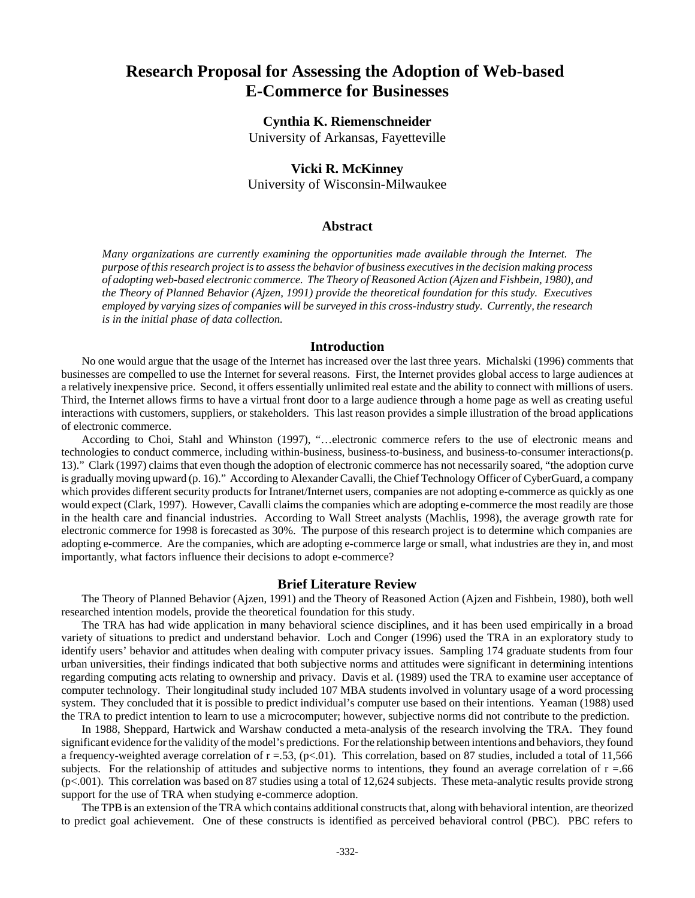# **Research Proposal for Assessing the Adoption of Web-based E-Commerce for Businesses**

## **Cynthia K. Riemenschneider**

University of Arkansas, Fayetteville

### **Vicki R. McKinney**

University of Wisconsin-Milwaukee

#### **Abstract**

*Many organizations are currently examining the opportunities made available through the Internet. The purpose of this research project is to assess the behavior of business executives in the decision making process of adopting web-based electronic commerce. The Theory of Reasoned Action (Ajzen and Fishbein, 1980), and the Theory of Planned Behavior (Ajzen, 1991) provide the theoretical foundation for this study. Executives employed by varying sizes of companies will be surveyed in this cross-industry study. Currently, the research is in the initial phase of data collection.*

#### **Introduction**

No one would argue that the usage of the Internet has increased over the last three years. Michalski (1996) comments that businesses are compelled to use the Internet for several reasons. First, the Internet provides global access to large audiences at a relatively inexpensive price. Second, it offers essentially unlimited real estate and the ability to connect with millions of users. Third, the Internet allows firms to have a virtual front door to a large audience through a home page as well as creating useful interactions with customers, suppliers, or stakeholders. This last reason provides a simple illustration of the broad applications of electronic commerce.

According to Choi, Stahl and Whinston (1997), "…electronic commerce refers to the use of electronic means and technologies to conduct commerce, including within-business, business-to-business, and business-to-consumer interactions(p. 13)." Clark (1997) claims that even though the adoption of electronic commerce has not necessarily soared, "the adoption curve is gradually moving upward (p. 16)." According to Alexander Cavalli, the Chief Technology Officer of CyberGuard, a company which provides different security products for Intranet/Internet users, companies are not adopting e-commerce as quickly as one would expect (Clark, 1997). However, Cavalli claims the companies which are adopting e-commerce the most readily are those in the health care and financial industries. According to Wall Street analysts (Machlis, 1998), the average growth rate for electronic commerce for 1998 is forecasted as 30%. The purpose of this research project is to determine which companies are adopting e-commerce. Are the companies, which are adopting e-commerce large or small, what industries are they in, and most importantly, what factors influence their decisions to adopt e-commerce?

#### **Brief Literature Review**

The Theory of Planned Behavior (Ajzen, 1991) and the Theory of Reasoned Action (Ajzen and Fishbein, 1980), both well researched intention models, provide the theoretical foundation for this study.

The TRA has had wide application in many behavioral science disciplines, and it has been used empirically in a broad variety of situations to predict and understand behavior. Loch and Conger (1996) used the TRA in an exploratory study to identify users' behavior and attitudes when dealing with computer privacy issues. Sampling 174 graduate students from four urban universities, their findings indicated that both subjective norms and attitudes were significant in determining intentions regarding computing acts relating to ownership and privacy. Davis et al. (1989) used the TRA to examine user acceptance of computer technology. Their longitudinal study included 107 MBA students involved in voluntary usage of a word processing system. They concluded that it is possible to predict individual's computer use based on their intentions. Yeaman (1988) used the TRA to predict intention to learn to use a microcomputer; however, subjective norms did not contribute to the prediction.

In 1988, Sheppard, Hartwick and Warshaw conducted a meta-analysis of the research involving the TRA. They found significant evidence for the validity of the model's predictions. For the relationship between intentions and behaviors, they found a frequency-weighted average correlation of  $r = .53$ , ( $p < .01$ ). This correlation, based on 87 studies, included a total of 11,566 subjects. For the relationship of attitudes and subjective norms to intentions, they found an average correlation of  $r = .66$ (p<.001). This correlation was based on 87 studies using a total of 12,624 subjects. These meta-analytic results provide strong support for the use of TRA when studying e-commerce adoption.

The TPB is an extension of the TRA which contains additional constructs that, along with behavioral intention, are theorized to predict goal achievement. One of these constructs is identified as perceived behavioral control (PBC). PBC refers to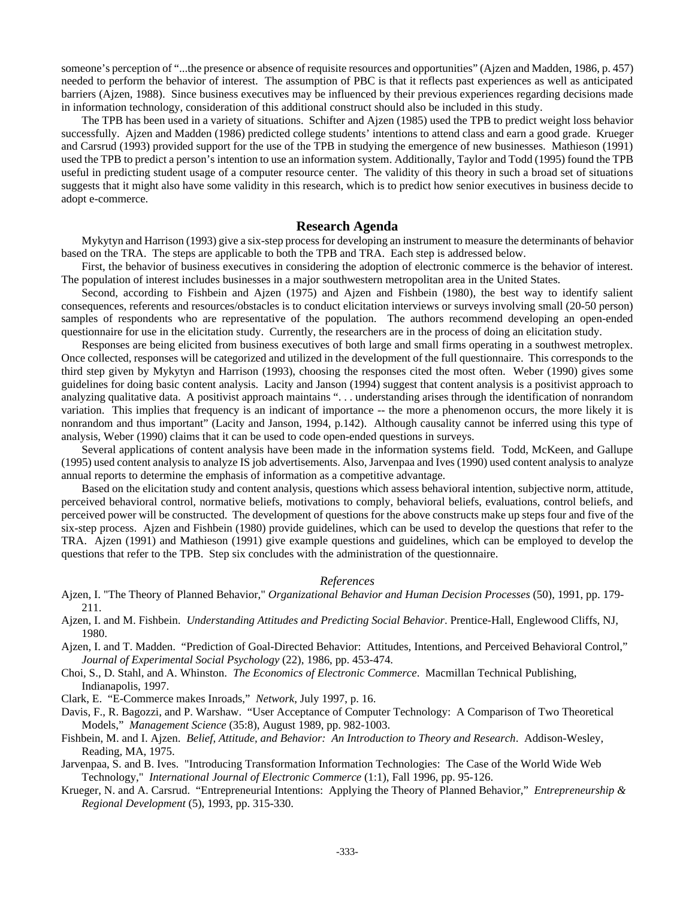someone's perception of "...the presence or absence of requisite resources and opportunities" (Ajzen and Madden, 1986, p. 457) needed to perform the behavior of interest. The assumption of PBC is that it reflects past experiences as well as anticipated barriers (Ajzen, 1988). Since business executives may be influenced by their previous experiences regarding decisions made in information technology, consideration of this additional construct should also be included in this study.

The TPB has been used in a variety of situations. Schifter and Ajzen (1985) used the TPB to predict weight loss behavior successfully. Ajzen and Madden (1986) predicted college students' intentions to attend class and earn a good grade. Krueger and Carsrud (1993) provided support for the use of the TPB in studying the emergence of new businesses. Mathieson (1991) used the TPB to predict a person's intention to use an information system. Additionally, Taylor and Todd (1995) found the TPB useful in predicting student usage of a computer resource center. The validity of this theory in such a broad set of situations suggests that it might also have some validity in this research, which is to predict how senior executives in business decide to adopt e-commerce.

#### **Research Agenda**

Mykytyn and Harrison (1993) give a six-step process for developing an instrument to measure the determinants of behavior based on the TRA. The steps are applicable to both the TPB and TRA. Each step is addressed below.

First, the behavior of business executives in considering the adoption of electronic commerce is the behavior of interest. The population of interest includes businesses in a major southwestern metropolitan area in the United States.

Second, according to Fishbein and Ajzen (1975) and Ajzen and Fishbein (1980), the best way to identify salient consequences, referents and resources/obstacles is to conduct elicitation interviews or surveys involving small (20-50 person) samples of respondents who are representative of the population. The authors recommend developing an open-ended questionnaire for use in the elicitation study. Currently, the researchers are in the process of doing an elicitation study.

Responses are being elicited from business executives of both large and small firms operating in a southwest metroplex. Once collected, responses will be categorized and utilized in the development of the full questionnaire. This corresponds to the third step given by Mykytyn and Harrison (1993), choosing the responses cited the most often. Weber (1990) gives some guidelines for doing basic content analysis. Lacity and Janson (1994) suggest that content analysis is a positivist approach to analyzing qualitative data. A positivist approach maintains ". . . understanding arises through the identification of nonrandom variation. This implies that frequency is an indicant of importance -- the more a phenomenon occurs, the more likely it is nonrandom and thus important" (Lacity and Janson, 1994, p.142). Although causality cannot be inferred using this type of analysis, Weber (1990) claims that it can be used to code open-ended questions in surveys.

Several applications of content analysis have been made in the information systems field. Todd, McKeen, and Gallupe (1995) used content analysis to analyze IS job advertisements. Also, Jarvenpaa and Ives (1990) used content analysis to analyze annual reports to determine the emphasis of information as a competitive advantage.

Based on the elicitation study and content analysis, questions which assess behavioral intention, subjective norm, attitude, perceived behavioral control, normative beliefs, motivations to comply, behavioral beliefs, evaluations, control beliefs, and perceived power will be constructed. The development of questions for the above constructs make up steps four and five of the six-step process. Ajzen and Fishbein (1980) provide guidelines, which can be used to develop the questions that refer to the TRA. Ajzen (1991) and Mathieson (1991) give example questions and guidelines, which can be employed to develop the questions that refer to the TPB. Step six concludes with the administration of the questionnaire.

#### *References*

- Ajzen, I. "The Theory of Planned Behavior," *Organizational Behavior and Human Decision Processes* (50), 1991, pp. 179- 211.
- Ajzen, I. and M. Fishbein. *Understanding Attitudes and Predicting Social Behavior*. Prentice-Hall, Englewood Cliffs, NJ, 1980.
- Ajzen, I. and T. Madden. "Prediction of Goal-Directed Behavior: Attitudes, Intentions, and Perceived Behavioral Control," *Journal of Experimental Social Psychology* (22), 1986, pp. 453-474.
- Choi, S., D. Stahl, and A. Whinston. *The Economics of Electronic Commerce*. Macmillan Technical Publishing, Indianapolis, 1997.
- Clark, E. "E-Commerce makes Inroads," *Network*, July 1997, p. 16.

Davis, F., R. Bagozzi, and P. Warshaw. "User Acceptance of Computer Technology: A Comparison of Two Theoretical Models," *Management Science* (35:8), August 1989, pp. 982-1003.

- Fishbein, M. and I. Ajzen. *Belief, Attitude, and Behavior: An Introduction to Theory and Research*. Addison-Wesley, Reading, MA, 1975.
- Jarvenpaa, S. and B. Ives. "Introducing Transformation Information Technologies: The Case of the World Wide Web Technology," *International Journal of Electronic Commerce* (1:1), Fall 1996, pp. 95-126.
- Krueger, N. and A. Carsrud. "Entrepreneurial Intentions: Applying the Theory of Planned Behavior," *Entrepreneurship & Regional Development* (5), 1993, pp. 315-330.